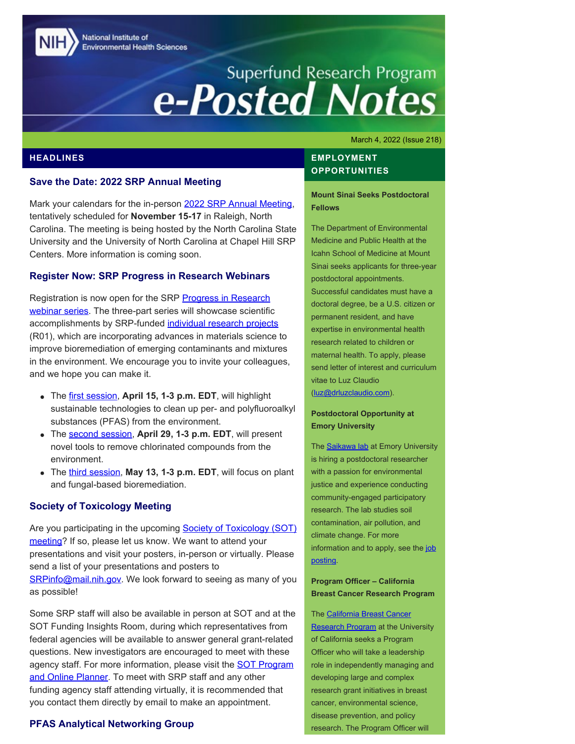National Institute of **Environmental Health Sciences** 

# Superfund Research Program<br> **e-Posted Notes**

March 4, 2022 (Issue 218)

## **HEADLINES**

### **Save the Date: 2022 SRP Annual Meeting**

Mark your calendars for the in-person [2022 SRP Annual Meeting](https://conferences.coned.ncsu.edu/srp2021/), tentatively scheduled for **November 15-17** in Raleigh, North Carolina. The meeting is being hosted by the North Carolina State University and the University of North Carolina at Chapel Hill SRP Centers. More information is coming soon.

### **Register Now: SRP Progress in Research Webinars**

Registration is now open for the SRP [Progress in Research](https://www.niehs.nih.gov/research/supported/centers/srp/events/inprogresswebinar/Innovative_materials_2022/index.cfm) [webinar series](https://www.niehs.nih.gov/research/supported/centers/srp/events/inprogresswebinar/Innovative_materials_2022/index.cfm). The three-part series will showcase scientific accomplishments by SRP-funded [individual research projects](https://www.niehs.nih.gov/research/supported/centers/srp/news/2021news/R01/index.cfm) (R01), which are incorporating advances in materials science to improve bioremediation of emerging contaminants and mixtures in the environment. We encourage you to invite your colleagues, and we hope you can make it.

- The [first session,](https://clu-in.org/training/webinar/srppir16/) **April 15, 1-3 p.m. EDT**, will highlight sustainable technologies to clean up per- and polyfluoroalkyl substances (PFAS) from the environment.
- The [second session,](https://clu-in.org/training/webinar/srppir17/) **April 29, 1-3 p.m. EDT**, will present novel tools to remove chlorinated compounds from the environment.
- The [third session](https://clu-in.org/training/webinar/srppir18/), **May 13, 1-3 p.m. EDT**, will focus on plant and fungal-based bioremediation.

## **Society of Toxicology Meeting**

Are you participating in the upcoming **Society of Toxicology (SOT)** [meeting?](https://www.toxicology.org/events/am/AM2022/index.asp) If so, please let us know. We want to attend your presentations and visit your posters, in-person or virtually. Please send a list of your presentations and posters to [SRPinfo@mail.nih.gov.](mailto:SRPinfo@mail.nih.gov) We look forward to seeing as many of you as possible!

Some SRP staff will also be available in person at SOT and at the SOT Funding Insights Room, during which representatives from federal agencies will be available to answer general grant-related questions. New investigators are encouraged to meet with these agency staff. For more information, please visit the **SOT Program** [and Online Planner.](https://www.toxicology.org/events/am/AM2022/index.asp) To meet with SRP staff and any other funding agency staff attending virtually, it is recommended that you contact them directly by email to make an appointment.

## **PFAS Analytical Networking Group**

## **EMPLOYMENT OPPORTUNITIES**

**Mount Sinai Seeks Postdoctoral Fellows** 

The Department of Environmental Medicine and Public Health at the Icahn School of Medicine at Mount Sinai seeks applicants for three-year postdoctoral appointments. Successful candidates must have a doctoral degree, be a U.S. citizen or permanent resident, and have expertise in environmental health research related to children or maternal health. To apply, please send letter of interest and curriculum vitae to Luz Claudio [\(luz@drluzclaudio.com](mailto:luz@drluzclaudio.com)).

## **Postdoctoral Opportunity at Emory University**

The **Saikawa lab** at Emory University is hiring a postdoctoral researcher with a passion for environmental justice and experience conducting community-engaged participatory research. The lab studies soil contamination, air pollution, and climate change. For more information and to apply, see the [job](https://faculty-emory.icims.com/jobs/84984/job?mobile=false&width=1140&height=500&bga=true&needsRedirect=false&jan1offset=-300&jun1offset=-240) [posting](https://faculty-emory.icims.com/jobs/84984/job?mobile=false&width=1140&height=500&bga=true&needsRedirect=false&jan1offset=-300&jun1offset=-240).

## **Program Officer – California Breast Cancer Research Program**

The [California Breast Cancer](https://www.cbcrp.org/) **Research Program** at the University of California seeks a Program Officer who will take a leadership role in independently managing and developing large and complex research grant initiatives in breast cancer, environmental science, disease prevention, and policy research. The Program Officer will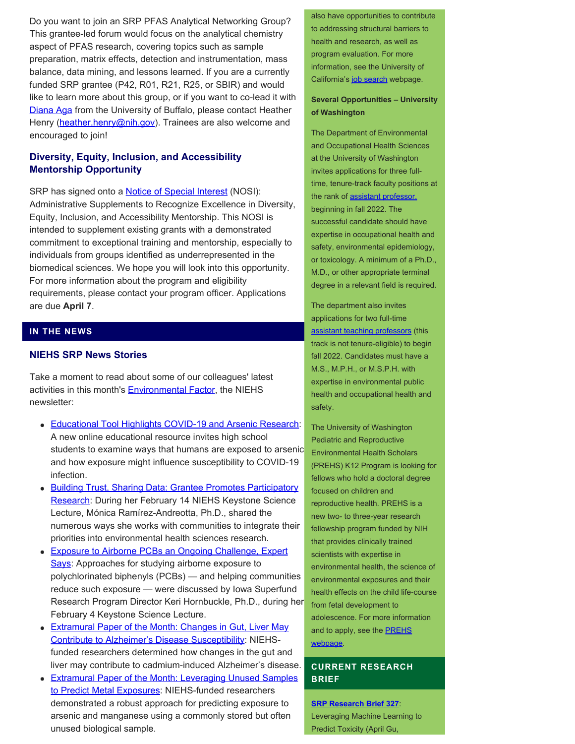Do you want to join an SRP PFAS Analytical Networking Group? This grantee-led forum would focus on the analytical chemistry aspect of PFAS research, covering topics such as sample preparation, matrix effects, detection and instrumentation, mass balance, data mining, and lessons learned. If you are a currently funded SRP grantee (P42, R01, R21, R25, or SBIR) and would like to learn more about this group, or if you want to co-lead it with [Diana Aga](https://tools.niehs.nih.gov/srp/people/details.cfm?Person_ID=50850) from the University of Buffalo, please contact Heather Henry [\(heather.henry@nih.gov](file:///C/Users/wmclean/OneDrive%20-%20MDB,%20Inc/Documents/heather.henry@nih.gov)). Trainees are also welcome and encouraged to join!

# **Diversity, Equity, Inclusion, and Accessibility Mentorship Opportunity**

SRP has signed onto a **[Notice of Special Interest](https://grants.nih.gov/grants/guide/notice-files/NOT-OD-22-057.html)** (NOSI): Administrative Supplements to Recognize Excellence in Diversity, Equity, Inclusion, and Accessibility Mentorship. This NOSI is intended to supplement existing grants with a demonstrated commitment to exceptional training and mentorship, especially to individuals from groups identified as underrepresented in the biomedical sciences. We hope you will look into this opportunity. For more information about the program and eligibility requirements, please contact your program officer. Applications are due **April 7**.

# **IN THE NEWS**

#### **NIEHS SRP News Stories**

Take a moment to read about some of our colleagues' latest activities in this month's **Environmental Factor**, the NIEHS newsletter:

- [Educational Tool Highlights COVID-19 and Arsenic Research](https://factor.niehs.nih.gov/2022/3/beyond-the-bench/srp-educational-resource/index.htm): A new online educational resource invites high school students to examine ways that humans are exposed to arsenic and how exposure might influence susceptibility to COVID-19 infection.
- [Building Trust, Sharing Data: Grantee Promotes Participatory](https://factor.niehs.nih.gov/2022/3/community-impact/participatory-research/index.htm) [Research](https://factor.niehs.nih.gov/2022/3/community-impact/participatory-research/index.htm): During her February 14 NIEHS Keystone Science Lecture, Mónica Ramírez-Andreotta, Ph.D., shared the numerous ways she works with communities to integrate their priorities into environmental health sciences research.
- [Exposure to Airborne PCBs an Ongoing Challenge, Expert](https://factor.niehs.nih.gov/2022/3/feature/2-feature-pcb-exposure/index.htm) [Says](https://factor.niehs.nih.gov/2022/3/feature/2-feature-pcb-exposure/index.htm): Approaches for studying airborne exposure to polychlorinated biphenyls (PCBs) — and helping communities reduce such exposure — were discussed by Iowa Superfund Research Program Director Keri Hornbuckle, Ph.D., during her February 4 Keystone Science Lecture.
- Extramural Paper of the Month: Changes in Gut, Liver May [Contribute to Alzheimer's Disease Susceptibility](https://factor.niehs.nih.gov/2022/3/papers/dert/index.htm#a1): NIEHSfunded researchers determined how changes in the gut and liver may contribute to cadmium-induced Alzheimer's disease.
- **[Extramural Paper of the Month: Leveraging Unused Samples](https://factor.niehs.nih.gov/2022/3/papers/dert/index.htm#a4)** [to Predict Metal Exposures](https://factor.niehs.nih.gov/2022/3/papers/dert/index.htm#a4): NIEHS-funded researchers demonstrated a robust approach for predicting exposure to **[SRP Research Brief 327](https://tools.niehs.nih.gov/srp/researchbriefs/view.cfm?Brief_ID=327)**: arsenic and manganese using a commonly stored but often Leveraging Machine Learning to unused biological sample. **Predict Toxicity (April Gu, 1998)** Predict Toxicity (April Gu,

also have opportunities to contribute to addressing structural barriers to health and research, as well as program evaluation. For more information, see the University of California's [job search](https://careerspub.universityofcalifornia.edu/psp/ucop/EMPLOYEE/HRMS/c/HRS_HRAM.HRS_APP_SCHJOB.GBL?Page=HRS_APP_JBPST&JobOpeningId=22592&PostingSeq=1&SiteId=19&languageCd=ENG&FOCUS=Applicant) webpage.

## **Several Opportunities – University of Washington**

The Department of Environmental and Occupational Health Sciences at the University of Washington invites applications for three fulltime, tenure-track faculty positions at the rank of [assistant professor,](https://apply.interfolio.com/98315) beginning in fall 2022. The successful candidate should have expertise in occupational health and safety, environmental epidemiology, or toxicology. A minimum of a Ph.D., M.D., or other appropriate terminal degree in a relevant field is required.

The department also invites applications for two full-time [assistant teaching professors](https://apply.interfolio.com/98057) (this track is not tenure-eligible) to begin fall 2022. Candidates must have a M.S., M.P.H., or M.S.P.H. with expertise in environmental public health and occupational health and safety.

The University of Washington Pediatric and Reproductive Environmental Health Scholars (PREHS) K12 Program is looking for fellows who hold a doctoral degree focused on children and reproductive health. PREHS is a new two- to three-year research fellowship program funded by NIH that provides clinically trained scientists with expertise in environmental health, the science of environmental exposures and their health effects on the child life-course from fetal development to adolescence. For more information and to apply, see the **PREHS** [webpage.](https://deohs.washington.edu/prehs/apply)

# **CURRENT RESEARCH BRIEF**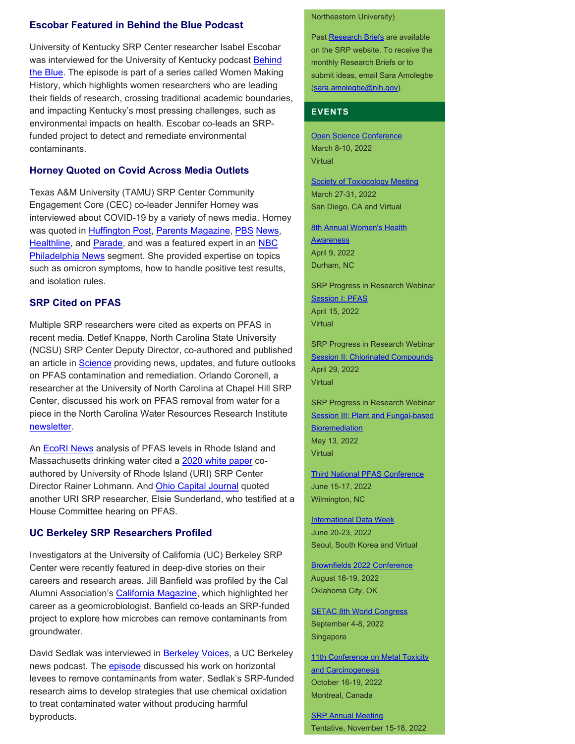## **Escobar Featured in Behind the Blue Podcast**

University of Kentucky SRP Center researcher Isabel Escobar was interviewed for the University of Kentucky podcast [Behind](http://uknow.uky.edu/research/women-making-history-series-kicks-isabel-escobar-behind-blue?j=471902&sfmc_sub=122676405&l=22384_HTML&u=14022294&mid=10966798&jb=0) [the Blue](http://uknow.uky.edu/research/women-making-history-series-kicks-isabel-escobar-behind-blue?j=471902&sfmc_sub=122676405&l=22384_HTML&u=14022294&mid=10966798&jb=0). The episode is part of a series called Women Making History, which highlights women researchers who are leading their fields of research, crossing traditional academic boundaries, and impacting Kentucky's most pressing challenges, such as environmental impacts on health. Escobar co-leads an SRPfunded project to detect and remediate environmental contaminants.

## **Horney Quoted on Covid Across Media Outlets**

Texas A&M University (TAMU) SRP Center Community Engagement Core (CEC) co-leader Jennifer Horney was interviewed about COVID-19 by a variety of news media. Horney was quoted in [Huffington Post](https://www.huffpost.com/entry/cdc-covid-isolation-rules_l_61d72ec0e4b0c7d8b8ad26c2), [Parents Magazine](https://www.parents.com/health/coronavirus/reporting-requirements-covid-home-tests-cause-chaos/), [PBS](https://whyy.org/articles/delaware-covid-cases-shatter-daily-records-omicron-surge/) [News](https://whyy.org/articles/covid-19-on-steady-decline-in-delaware-amid-concerns-about-variants-flu-season-or-another-curveball/), [Healthline,](https://www.healthline.com/health-news/omicron-symptoms-how-they-compare-with-other-coronavirus-variants) and [Parade,](https://parade.com/1312897/kaitlin-vogel/what-to-do-if-you-test-positive-for-covid/) and was a featured expert in an [NBC](https://www.nbcphiladelphia.com/news/coronavirus/hospitals-coping-with-covid-19-surge-as-winter-approaches/3075089/) [Philadelphia News](https://www.nbcphiladelphia.com/news/coronavirus/hospitals-coping-with-covid-19-surge-as-winter-approaches/3075089/) segment. She provided expertise on topics such as omicron symptoms, how to handle positive test results, and isolation rules.

### **SRP Cited on PFAS**

Multiple SRP researchers were cited as experts on PFAS in recent media. Detlef Knappe, North Carolina State University (NCSU) SRP Center Deputy Director, co-authored and published an article in [Science](https://www.science.org/doi/10.1126/science.abg9065) providing news, updates, and future outlooks on PFAS contamination and remediation. Orlando Coronell, a researcher at the University of North Carolina at Chapel Hill SRP Center, discussed his work on PFAS removal from water for a piece in the North Carolina Water Resources Research Institute [newsletter.](https://wrri.ncsu.edu/blog/2022/01/pfas-removal-orlando-coronell-frank-leibfarth/)

An [EcoRI News](https://www.ecori.org/public-safety/2022/1/6/data-show-widespread-toxic-chemical-contamination-across-ri-and-mass) analysis of PFAS levels in Rhode Island and Massachusetts drinking water cited a [2020 white paper](https://pubs.rsc.org/en/content/articlelanding/2020/EM/D0EM00291G#!divAbstract) coauthored by University of Rhode Island (URI) SRP Center Director Rainer Lohmann. And [Ohio Capital Journal](https://ohiocapitaljournal.com/2022/01/18/momentum-builds-in-fight-against-forever-chemicals-in-air-water/) quoted another URI SRP researcher, Elsie Sunderland, who testified at a House Committee hearing on PFAS.

## **UC Berkeley SRP Researchers Profiled**

Investigators at the University of California (UC) Berkeley SRP Center were recently featured in deep-dive stories on their careers and research areas. Jill Banfield was profiled by the Cal Alumni Association's [California Magazine,](https://alumni.berkeley.edu/california-magazine/winter-2021/woman-reshaping-our-understanding-living-world?utm_source=mag-newsletter&utm_medium=email&utm_campaign=california) which highlighted her career as a geomicrobiologist. Banfield co-leads an SRP-funded project to explore how microbes can remove contaminants from groundwater.

David Sedlak was interviewed in [Berkeley Voices,](https://news.berkeley.edu/podcasts/berkeley-voices/) a UC Berkeley news podcast. The **episode** discussed his work on horizontal levees to remove contaminants from water. Sedlak's SRP-funded research aims to develop strategies that use chemical oxidation to treat contaminated water without producing harmful byproducts.

#### Northeastern University)

Past [Research Briefs](http://tools.niehs.nih.gov/srp/researchbriefs/index.cfm) are available on the SRP website. To receive the monthly Research Briefs or to submit ideas, email Sara Amolegbe [\(sara.amolegbe@nih.gov](mailto:sara.amolegbe@nih.gov)).

#### **EVENTS**

[Open Science Conference](https://www.open-science-conference.eu/)  March 8-10, 2022 **Virtual** 

[Society of Toxiocology Meeting](https://www.toxicology.org/events/am/AM2022/index.asp)  March 27-31, 2022 San Diego, CA and Virtual

**8th Annual Women's Health Awareness** April 9, 2022 Durham, NC

SRP Progress in Research Webinar **Session I: PFAS** April 15, 2022 Virtual

SRP Progress in Research Webinar **Session II: Chlorinated Compounds** April 29, 2022 **Virtual** 

SRP Progress in Research Webinar Session III: Plant and Fungal-based **Bioremediation** May 13, 2022 Virtual

[Third National PFAS Conference](https://pfasmeeting.wordpress.ncsu.edu/)  June 15-17, 2022 Wilmington, NC

**International Data Week** June 20-23, 2022 Seoul, South Korea and Virtual

[Brownfields 2022 Conference](https://brownfields2021.org/about/conference-overview/)  August 16-19, 2022 Oklahoma City, OK

**[SETAC 8th World Congress](https://singapore.setac.org/)** September 4-8, 2022 **Singapore** 

11th Conference on Metal Toxicity and Carcinogenesis October 16-19, 2022 Montreal, Canada

**SRP Annual Meeting** Tentative, November 15-18, 2022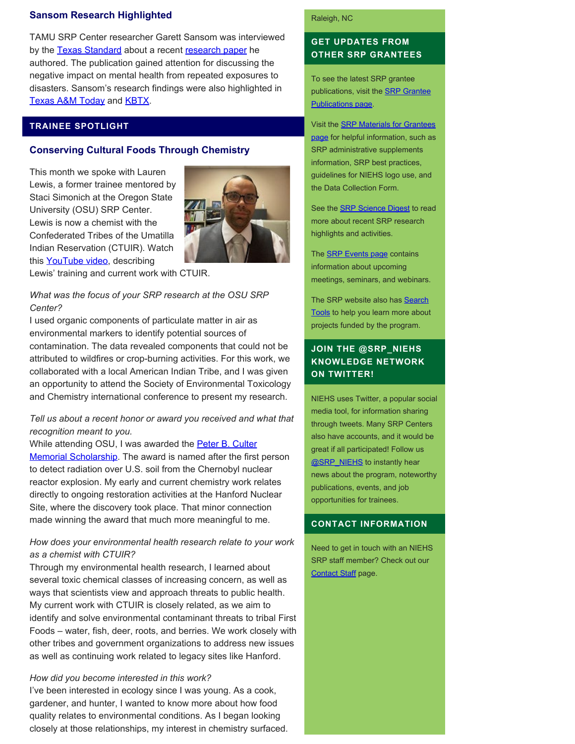## **Sansom Research Highlighted**

TAMU SRP Center researcher Garett Sansom was interviewed by the [Texas Standard](https://www.texasstandard.org/wp-content/uploads/2022/01/sansomdisastersandmentalhealth12822.mp3) about a recent [research paper](https://vitalrecord.tamhsc.edu/repeated-exposure-to-major-disasters-has-long-term-mental-health-impacts/) he authored. The publication gained attention for discussing the negative impact on mental health from repeated exposures to disasters. Sansom's research findings were also highlighted in [Texas A&M Today](https://today.tamu.edu/2022/01/13/repeated-exposure-to-major-disasters-has-long-term-mental-health-impacts/) and **KBTX**.

## **TRAINEE SPOTLIGHT**

### **Conserving Cultural Foods Through Chemistry**

This month we spoke with Lauren Lewis, a former trainee mentored by Staci Simonich at the Oregon State University (OSU) SRP Center. Lewis is now a chemist with the Confederated Tribes of the Umatilla Indian Reservation (CTUIR). Watch this [YouTube video](https://www.youtube.com/watch?v=EHCmlNAB58o), describing



Lewis' training and current work with CTUIR.

## *What was the focus of your SRP research at the OSU SRP Center?*

I used organic components of particulate matter in air as environmental markers to identify potential sources of contamination. The data revealed components that could not be attributed to wildfires or crop-burning activities. For this work, we collaborated with a local American Indian Tribe, and I was given an opportunity to attend the Society of Environmental Toxicology and Chemistry international conference to present my research.

## *Tell us about a recent honor or award you received and what that recognition meant to you.*

While attending OSU, I was awarded the **Peter B. Culter** [Memorial Scholarship](https://chemistry.oregonstate.edu/content/peter-b-culter-memorial-scholarship). The award is named after the first person to detect radiation over U.S. soil from the Chernobyl nuclear reactor explosion. My early and current chemistry work relates directly to ongoing restoration activities at the Hanford Nuclear Site, where the discovery took place. That minor connection made winning the award that much more meaningful to me.

## *How does your environmental health research relate to your work as a chemist with CTUIR?*

Through my environmental health research, I learned about several toxic chemical classes of increasing concern, as well as ways that scientists view and approach threats to public health. My current work with CTUIR is closely related, as we aim to identify and solve environmental contaminant threats to tribal First Foods – water, fish, deer, roots, and berries. We work closely with other tribes and government organizations to address new issues as well as continuing work related to legacy sites like Hanford.

#### *How did you become interested in this work?*

I've been interested in ecology since I was young. As a cook, gardener, and hunter, I wanted to know more about how food quality relates to environmental conditions. As I began looking closely at those relationships, my interest in chemistry surfaced.

#### Raleigh, NC

# **GET UPDATES FROM OTHER SRP GRANTEES**

To see the latest SRP grantee publications, visit the [SRP Grantee](https://tools.niehs.nih.gov/srp/publications/granteepublications.cfm)  [Publications page.](https://tools.niehs.nih.gov/srp/publications/granteepublications.cfm)

Visit the [SRP Materials for Grantees](https://www.niehs.nih.gov/research/supported/centers/srp/resources/index.cfm) [page](https://www.niehs.nih.gov/research/supported/centers/srp/resources/index.cfm) for helpful information, such as SRP administrative supplements information, SRP best practices, guidelines for NIEHS logo use, and the Data Collection Form.

See the [SRP Science Digest](https://www.niehs.nih.gov/research/supported/centers/srp/science_digest/index.cfm) to read more about recent SRP research highlights and activities.

The **SRP Events page contains** information about upcoming meetings, seminars, and webinars.

The SRP website also has **Search** [Tools](http://tools.niehs.nih.gov/srp/search/index.cfm) to help you learn more about projects funded by the program.

# **JOIN THE @SRP\_NIEHS KNOWLEDGE NETWORK ON TWITTER!**

NIEHS uses Twitter, a popular social media tool, for information sharing through tweets. Many SRP Centers also have accounts, and it would be great if all participated! Follow us **@SRP\_NIEHS** to instantly hear news about the program, noteworthy publications, events, and job opportunities for trainees.

#### **CONTACT INFORMATION**

Need to get in touch with an NIEHS SRP staff member? Check out our [Contact Staff](https://www.niehs.nih.gov/research/supported/centers/srp/about/contact_us/index.cfm) page.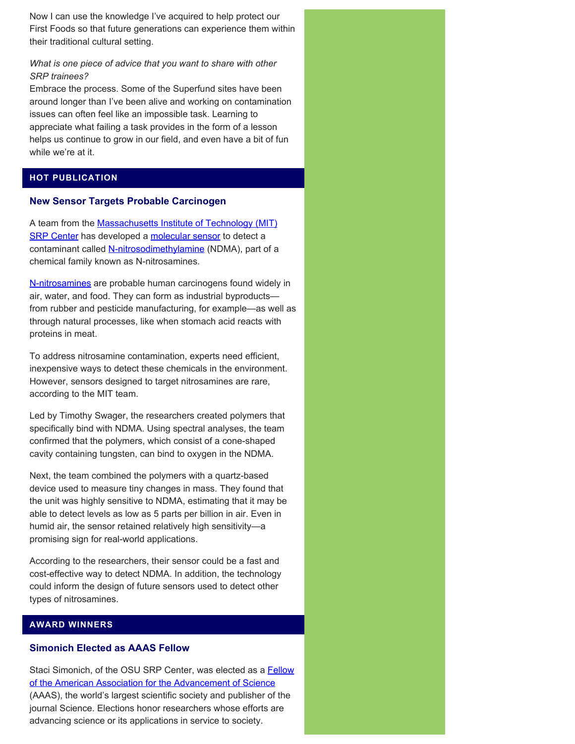Now I can use the knowledge I've acquired to help protect our First Foods so that future generations can experience them within their traditional cultural setting.

# *What is one piece of advice that you want to share with other SRP trainees?*

Embrace the process. Some of the Superfund sites have been around longer than I've been alive and working on contamination issues can often feel like an impossible task. Learning to appreciate what failing a task provides in the form of a lesson helps us continue to grow in our field, and even have a bit of fun while we're at it.

# **HOT PUBLICATION**

## **New Sensor Targets Probable Carcinogen**

A team from the [Massachusetts Institute of Technology \(MIT\)](https://tools.niehs.nih.gov/srp/programs/Program_detail.cfm?Project_ID=P42ES0277078757) [SRP Center](https://tools.niehs.nih.gov/srp/programs/Program_detail.cfm?Project_ID=P42ES0277078757) has developed a [molecular sensor](https://pubmed.ncbi.nlm.nih.gov/34793165/) to detect a contaminant called [N-nitrosodimethylamine](https://www.epa.gov/sites/default/files/2017-10/documents/ndma_fact_sheet_update_9-15-17_508.pdf) (NDMA), part of a chemical family known as N-nitrosamines.

[N-nitrosamines](https://ntp.niehs.nih.gov/ntp/roc/content/profiles/nitrosamines.pdf) are probable human carcinogens found widely in air, water, and food. They can form as industrial byproducts from rubber and pesticide manufacturing, for example—as well as through natural processes, like when stomach acid reacts with proteins in meat.

To address nitrosamine contamination, experts need efficient, inexpensive ways to detect these chemicals in the environment. However, sensors designed to target nitrosamines are rare, according to the MIT team.

Led by Timothy Swager, the researchers created polymers that specifically bind with NDMA. Using spectral analyses, the team confirmed that the polymers, which consist of a cone-shaped cavity containing tungsten, can bind to oxygen in the NDMA.

Next, the team combined the polymers with a quartz-based device used to measure tiny changes in mass. They found that the unit was highly sensitive to NDMA, estimating that it may be able to detect levels as low as 5 parts per billion in air. Even in humid air, the sensor retained relatively high sensitivity—a promising sign for real-world applications.

According to the researchers, their sensor could be a fast and cost-effective way to detect NDMA. In addition, the technology could inform the design of future sensors used to detect other types of nitrosamines.

# **AWARD WINNERS**

# **Simonich Elected as AAAS Fellow**

Staci Simonich, of the OSU SRP Center, was elected as a **Fellow** [of the American Association for the Advancement of Science](https://www.aaas.org/page/2021-fellows)  (AAAS), the world's largest scientific society and publisher of the journal Science. Elections honor researchers whose efforts are advancing science or its applications in service to society.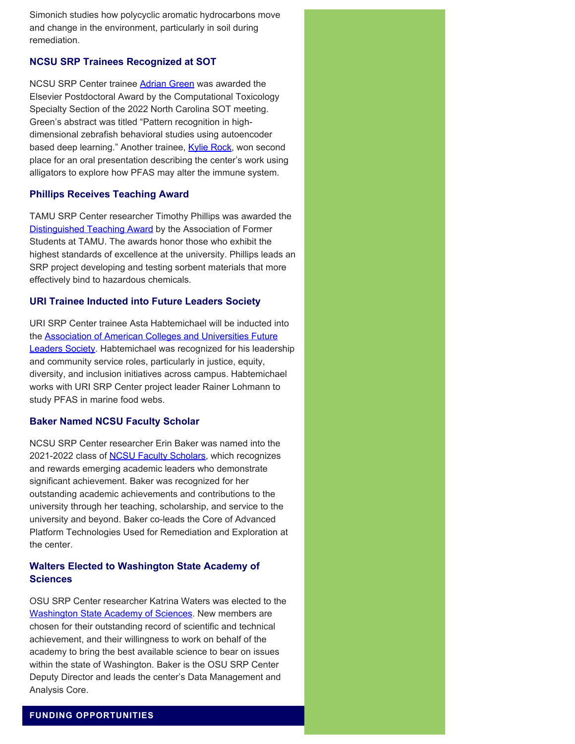Simonich studies how polycyclic aromatic hydrocarbons move and change in the environment, particularly in soil during remediation.

# **NCSU SRP Trainees Recognized at SOT**

NCSU SRP Center trainee [Adrian Green](https://superfund.ncsu.edu/news/2603/) was awarded the Elsevier Postdoctoral Award by the Computational Toxicology Specialty Section of the 2022 North Carolina SOT meeting. Green's abstract was titled "Pattern recognition in highdimensional zebrafish behavioral studies using autoencoder based deep learning." Another trainee, [Kylie Rock](https://superfund.ncsu.edu/news/2599/), won second place for an oral presentation describing the center's work using alligators to explore how PFAS may alter the immune system.

# **Phillips Receives Teaching Award**

TAMU SRP Center researcher Timothy Phillips was awarded the [Distinguished Teaching Award](https://facultyaffairs.tamu.edu/Opportunities/Awards/AFS-Distinguished-Achievement-Awards) by the Association of Former Students at TAMU. The awards honor those who exhibit the highest standards of excellence at the university. Phillips leads an SRP project developing and testing sorbent materials that more effectively bind to hazardous chemicals.

## **URI Trainee Inducted into Future Leaders Society**

URI SRP Center trainee Asta Habtemichael will be inducted into the [Association of American Colleges and Universities Future](https://web.uri.edu/gso/news/gso-student-inducted-into-aacu-future-leaders-society/) **[Leaders Society.](https://web.uri.edu/gso/news/gso-student-inducted-into-aacu-future-leaders-society/)** Habtemichael was recognized for his leadership and community service roles, particularly in justice, equity, diversity, and inclusion initiatives across campus. Habtemichael works with URI SRP Center project leader Rainer Lohmann to study PFAS in marine food webs.

## **Baker Named NCSU Faculty Scholar**

NCSU SRP Center researcher Erin Baker was named into the 2021-2022 class of **NCSU Faculty Scholars**, which recognizes and rewards emerging academic leaders who demonstrate significant achievement. Baker was recognized for her outstanding academic achievements and contributions to the university through her teaching, scholarship, and service to the university and beyond. Baker co-leads the Core of Advanced Platform Technologies Used for Remediation and Exploration at the center.

# **Walters Elected to Washington State Academy of Sciences**

OSU SRP Center researcher Katrina Waters was elected to the Washington State Academy of Sciences</u>. New members are chosen for their outstanding record of scientific and technical achievement, and their willingness to work on behalf of the academy to bring the best available science to bear on issues within the state of Washington. Baker is the OSU SRP Center Deputy Director and leads the center's Data Management and Analysis Core.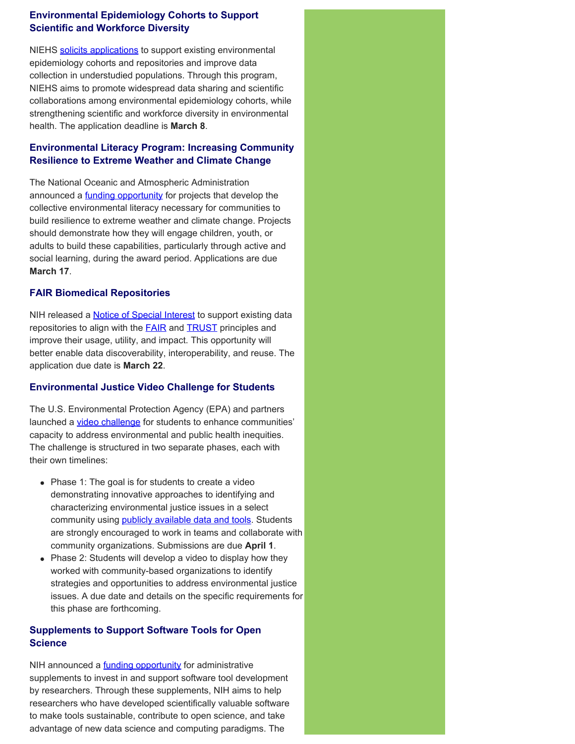# **Environmental Epidemiology Cohorts to Support Scientific and Workforce Diversity**

NIEHS [solicits applications](https://grants.nih.gov/grants/guide/rfa-files/RFA-ES-22-001.html) to support existing environmental epidemiology cohorts and repositories and improve data collection in understudied populations. Through this program, NIEHS aims to promote widespread data sharing and scientific collaborations among environmental epidemiology cohorts, while strengthening scientific and workforce diversity in environmental health. The application deadline is **March 8**.

# **Environmental Literacy Program: Increasing Community Resilience to Extreme Weather and Climate Change**

The National Oceanic and Atmospheric Administration announced a **funding opportunity** for projects that develop the collective environmental literacy necessary for communities to build resilience to extreme weather and climate change. Projects should demonstrate how they will engage children, youth, or adults to build these capabilities, particularly through active and social learning, during the award period. Applications are due **March 17**.

# **FAIR Biomedical Repositories**

NIH released a **Notice of Special Interest** to support existing data repositories to align with the **FAIR** and **[TRUST](https://pubmed.ncbi.nlm.nih.gov/32409645/)** principles and improve their usage, utility, and impact. This opportunity will better enable data discoverability, interoperability, and reuse. The application due date is **March 22**.

# **Environmental Justice Video Challenge for Students**

The U.S. Environmental Protection Agency (EPA) and partners launched a [video challenge](https://www.epa.gov/innovation/environmental-justice-video-challenge-students) for students to enhance communities' capacity to address environmental and public health inequities. The challenge is structured in two separate phases, each with their own timelines:

- Phase 1: The goal is for students to create a video demonstrating innovative approaches to identifying and characterizing environmental justice issues in a select community using **[publicly available data and tools](https://www.epa.gov/innovation/ej-video-challenge-students-tools-and-data-resources)**. Students are strongly encouraged to work in teams and collaborate with community organizations. Submissions are due **April 1**.
- Phase 2: Students will develop a video to display how they worked with community-based organizations to identify strategies and opportunities to address environmental justice issues. A due date and details on the specific requirements for this phase are forthcoming.

# **Supplements to Support Software Tools for Open Science**

NIH announced a **funding opportunity** for administrative supplements to invest in and support software tool development by researchers. Through these supplements, NIH aims to help researchers who have developed scientifically valuable software to make tools sustainable, contribute to open science, and take advantage of new data science and computing paradigms. The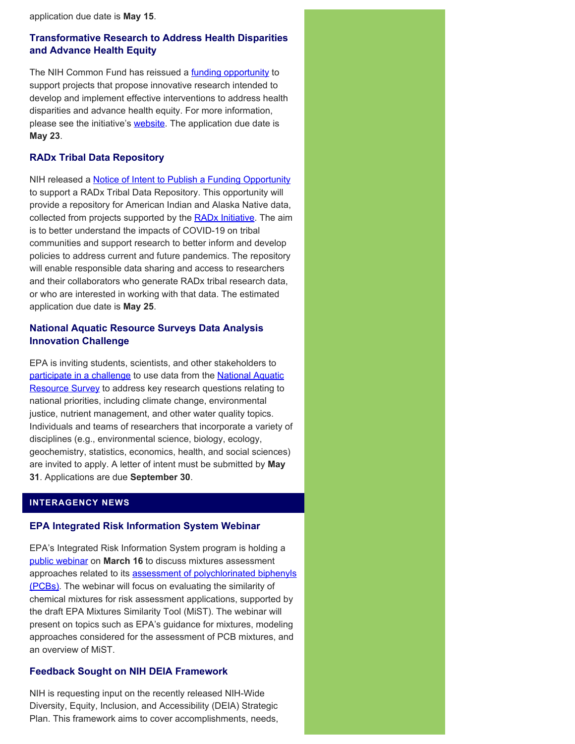application due date is **May 15**.

# **Transformative Research to Address Health Disparities and Advance Health Equity**

The NIH Common Fund has reissued a [funding opportunity](https://grants.nih.gov/grants/guide/rfa-files/RFA-RM-22-001.html) to support projects that propose innovative research intended to develop and implement effective interventions to address health disparities and advance health equity. For more information, please see the initiative's **website**. The application due date is **May 23**.

# **RADx Tribal Data Repository**

NIH released a **Notice of Intent to Publish a Funding Opportunity** to support a RADx Tribal Data Repository. This opportunity will provide a repository for American Indian and Alaska Native data, collected from projects supported by the [RADx Initiative](https://www.nih.gov/research-training/medical-research-initiatives/radx). The aim is to better understand the impacts of COVID-19 on tribal communities and support research to better inform and develop policies to address current and future pandemics. The repository will enable responsible data sharing and access to researchers and their collaborators who generate RADx tribal research data, or who are interested in working with that data. The estimated application due date is **May 25**.

# **National Aquatic Resource Surveys Data Analysis Innovation Challenge**

EPA is inviting students, scientists, and other stakeholders to [participate in a challenge](https://www.epa.gov/innovation/national-aquatic-resource-surveys-data-analysis-innovation-challenge) to use data from the [National Aquatic](https://www.epa.gov/national-aquatic-resource-surveys) [Resource Survey](https://www.epa.gov/national-aquatic-resource-surveys) to address key research questions relating to national priorities, including climate change, environmental justice, nutrient management, and other water quality topics. Individuals and teams of researchers that incorporate a variety of disciplines (e.g., environmental science, biology, ecology, geochemistry, statistics, economics, health, and social sciences) are invited to apply. A letter of intent must be submitted by **May 31**. Applications are due **September 30**.

# **INTERAGENCY NEWS**

# **EPA Integrated Risk Information System Webinar**

EPA's Integrated Risk Information System program is holding a [public webinar](https://cfpub.epa.gov/ncea/iris_drafts/recordisplay.cfm?deid=354040) on **March 16** to discuss mixtures assessment approaches related to its [assessment of polychlorinated biphenyls](https://iris.epa.gov/ChemicalLanding/&substance_nmbr=294) [\(PCBs\).](https://iris.epa.gov/ChemicalLanding/&substance_nmbr=294) The webinar will focus on evaluating the similarity of chemical mixtures for risk assessment applications, supported by the draft EPA Mixtures Similarity Tool (MiST). The webinar will present on topics such as EPA's guidance for mixtures, modeling approaches considered for the assessment of PCB mixtures, and an overview of MiST.

# **Feedback Sought on NIH DEIA Framework**

NIH is requesting input on the recently released NIH-Wide Diversity, Equity, Inclusion, and Accessibility (DEIA) Strategic Plan. This framework aims to cover accomplishments, needs,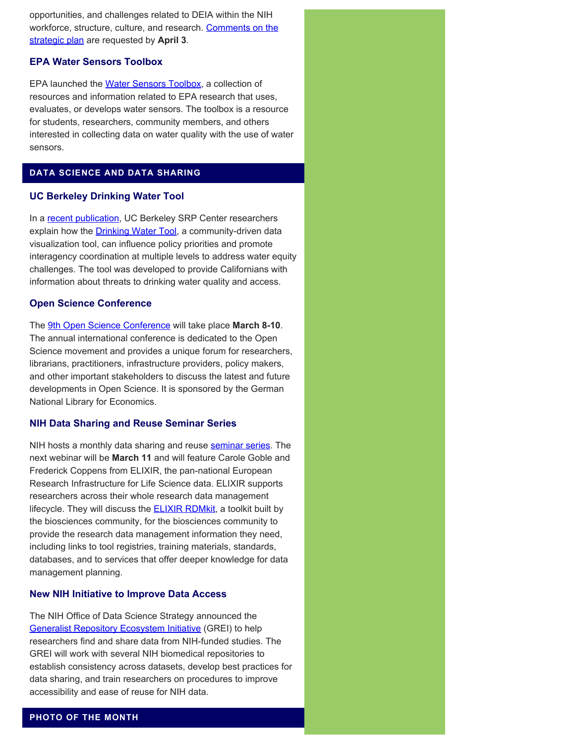opportunities, and challenges related to DEIA within the NIH workforce, structure, culture, and research. [Comments on the](https://nexus.od.nih.gov/all/2022/02/04/feedback-sought-on-the-nih-wide-strategic-plan-framework-for-diversity-equity-inclusion-and-accessibility/) [strategic plan](https://nexus.od.nih.gov/all/2022/02/04/feedback-sought-on-the-nih-wide-strategic-plan-framework-for-diversity-equity-inclusion-and-accessibility/) are requested by **April 3**.

# **EPA Water Sensors Toolbox**

EPA launched the [Water Sensors Toolbox](https://www.epa.gov/water-research/water-sensors-toolbox), a collection of resources and information related to EPA research that uses, evaluates, or develops water sensors. The toolbox is a resource for students, researchers, community members, and others interested in collecting data on water quality with the use of water sensors.

# **DATA SCIENCE AND DATA SHARING**

### **UC Berkeley Drinking Water Tool**

In a [recent publication](https://www.mdpi.com/1660-4601/19/3/1419), UC Berkeley SRP Center researchers explain how the **Drinking Water Tool**, a community-driven data visualization tool, can influence policy priorities and promote interagency coordination at multiple levels to address water equity challenges. The tool was developed to provide Californians with information about threats to drinking water quality and access.

#### **Open Science Conference**

The [9th Open Science Conference](https://www.open-science-conference.eu/) will take place **March 8-10**. The annual international conference is dedicated to the Open Science movement and provides a unique forum for researchers, librarians, practitioners, infrastructure providers, policy makers, and other important stakeholders to discuss the latest and future developments in Open Science. It is sponsored by the German National Library for Economics.

### **NIH Data Sharing and Reuse Seminar Series**

NIH hosts a monthly data sharing and reuse [seminar series](https://datascience.nih.gov/nih-data-sharing-and-reuse-seminar-series). The next webinar will be **March 11** and will feature Carole Goble and Frederick Coppens from ELIXIR, the pan-national European Research Infrastructure for Life Science data. ELIXIR supports researchers across their whole research data management lifecycle. They will discuss the **[ELIXIR RDMkit](https://rdmkit.elixir-europe.org/)**, a toolkit built by the biosciences community, for the biosciences community to provide the research data management information they need, including links to tool registries, training materials, standards, databases, and to services that offer deeper knowledge for data management planning.

## **New NIH Initiative to Improve Data Access**

The NIH Office of Data Science Strategy announced the **[Generalist Repository Ecosystem Initiative](https://datascience.nih.gov/news/nih-office-of-data-science-strategy-announces-new-initiative-to-improve-data-access) (GREI) to help** researchers find and share data from NIH-funded studies. The GREI will work with several NIH biomedical repositories to establish consistency across datasets, develop best practices for data sharing, and train researchers on procedures to improve accessibility and ease of reuse for NIH data.

## **PHOTO OF THE MONTH**